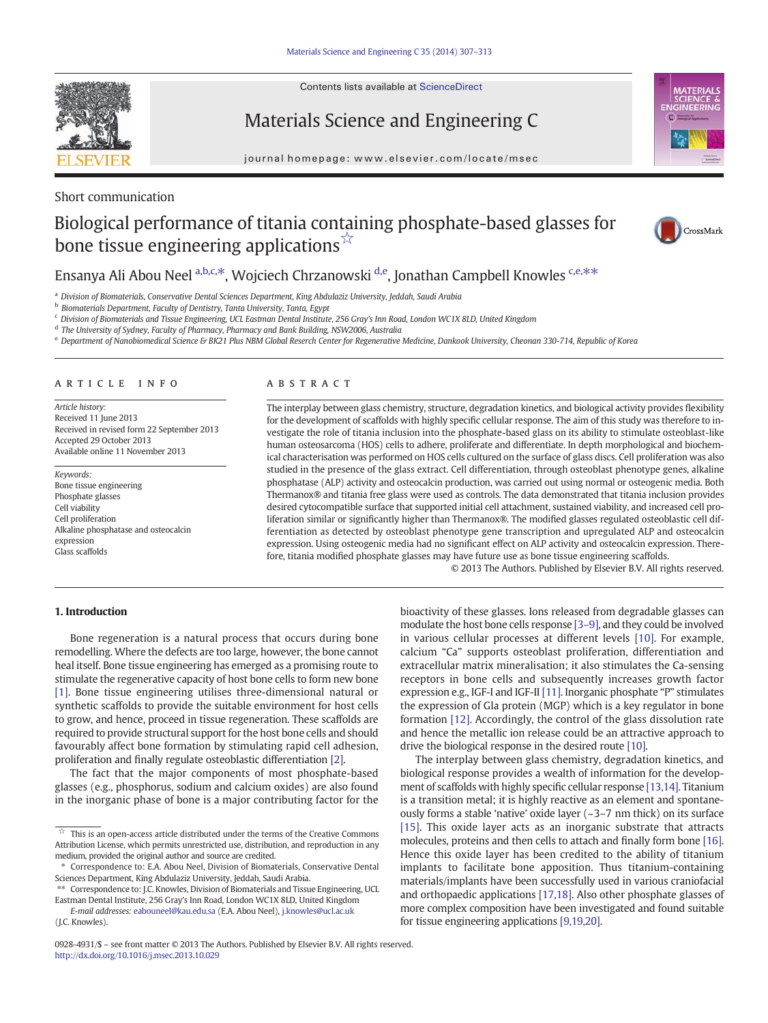Contents lists available at ScienceDirect







# Short communication

# Biological performance of titania containing phosphate-based glasses for bone tissue engineering applications $\sqrt[3]{x}$



# Ensanya Ali Abou Neel <sup>a,b,c,\*</sup>, Wojciech Chrzanowski <sup>d,e</sup>, Jonathan Campbell Knowles <sup>c,e,\*\*</sup>

<sup>a</sup> Division of Biomaterials, Conservative Dental Sciences Department, King Abdulaziz University, Jeddah, Saudi Arabia

**b** Biomaterials Department, Faculty of Dentistry, Tanta University, Tanta, Egypt

<sup>c</sup> Division of Biomaterials and Tissue Engineering, UCL Eastman Dental Institute, 256 Gray's Inn Road, London WC1X 8LD, United Kingdom

<sup>d</sup> The University of Sydney, Faculty of Pharmacy, Pharmacy and Bank Building, NSW2006, Australia

e Department of Nanobiomedical Science & BK21 Plus NBM Global Reserch Center for Regenerative Medicine, Dankook University, Cheonan 330-714, Republic of Korea

### article info abstract

Article history: Received 11 June 2013 Received in revised form 22 September 2013 Accepted 29 October 2013 Available online 11 November 2013

Keywords: Bone tissue engineering Phosphate glasses Cell viability Cell proliferation Alkaline phosphatase and osteocalcin expression Glass scaffolds

The interplay between glass chemistry, structure, degradation kinetics, and biological activity provides flexibility for the development of scaffolds with highly specific cellular response. The aim of this study was therefore to investigate the role of titania inclusion into the phosphate-based glass on its ability to stimulate osteoblast-like human osteosarcoma (HOS) cells to adhere, proliferate and differentiate. In depth morphological and biochemical characterisation was performed on HOS cells cultured on the surface of glass discs. Cell proliferation was also studied in the presence of the glass extract. Cell differentiation, through osteoblast phenotype genes, alkaline phosphatase (ALP) activity and osteocalcin production, was carried out using normal or osteogenic media. Both Thermanox® and titania free glass were used as controls. The data demonstrated that titania inclusion provides desired cytocompatible surface that supported initial cell attachment, sustained viability, and increased cell proliferation similar or significantly higher than Thermanox®. The modified glasses regulated osteoblastic cell differentiation as detected by osteoblast phenotype gene transcription and upregulated ALP and osteocalcin expression. Using osteogenic media had no significant effect on ALP activity and osteocalcin expression. Therefore, titania modified phosphate glasses may have future use as bone tissue engineering scaffolds.

© 2013 The Authors. Published by Elsevier B.V. All rights reserved.

bioactivity of these glasses. Ions released from degradable glasses can modulate the host bone cells response [\[3](#page-6-0)–9], and they could be involved in various cellular processes at different levels [\[10\]](#page-6-0). For example, calcium "Ca" supports osteoblast proliferation, differentiation and extracellular matrix mineralisation; it also stimulates the Ca-sensing receptors in bone cells and subsequently increases growth factor expression e.g., IGF-I and IGF-II [\[11\].](#page-6-0) Inorganic phosphate "P" stimulates the expression of Gla protein (MGP) which is a key regulator in bone formation [\[12\]](#page-6-0). Accordingly, the control of the glass dissolution rate and hence the metallic ion release could be an attractive approach to

The interplay between glass chemistry, degradation kinetics, and biological response provides a wealth of information for the development of scaffolds with highly specific cellular response [\[13,14\]](#page-6-0). Titanium is a transition metal; it is highly reactive as an element and spontaneously forms a stable 'native' oxide layer (~3–7 nm thick) on its surface [\[15\]](#page-6-0). This oxide layer acts as an inorganic substrate that attracts molecules, proteins and then cells to attach and finally form bone [\[16\].](#page-6-0) Hence this oxide layer has been credited to the ability of titanium

drive the biological response in the desired route [\[10\].](#page-6-0)

# 1. Introduction

Bone regeneration is a natural process that occurs during bone remodelling. Where the defects are too large, however, the bone cannot heal itself. Bone tissue engineering has emerged as a promising route to stimulate the regenerative capacity of host bone cells to form new bone [\[1\].](#page-6-0) Bone tissue engineering utilises three-dimensional natural or synthetic scaffolds to provide the suitable environment for host cells to grow, and hence, proceed in tissue regeneration. These scaffolds are required to provide structural support for the host bone cells and should favourably affect bone formation by stimulating rapid cell adhesion, proliferation and finally regulate osteoblastic differentiation [\[2\]](#page-6-0).

The fact that the major components of most phosphate-based glasses (e.g., phosphorus, sodium and calcium oxides) are also found in the inorganic phase of bone is a major contributing factor for the

⁎⁎ Correspondence to: J.C. Knowles, Division of Biomaterials and Tissue Engineering, UCL Eastman Dental Institute, 256 Gray's Inn Road, London WC1X 8LD, United Kingdom

implants to facilitate bone apposition. Thus titanium-containing materials/implants have been successfully used in various craniofacial and orthopaedic applications [\[17,18\]](#page-6-0). Also other phosphate glasses of more complex composition have been investigated and found suitable for tissue engineering applications [\[9,19,20\].](#page-6-0)

This is an open-access article distributed under the terms of the Creative Commons Attribution License, which permits unrestricted use, distribution, and reproduction in any medium, provided the original author and source are credited.

<sup>⁎</sup> Correspondence to: E.A. Abou Neel, Division of Biomaterials, Conservative Dental Sciences Department, King Abdulaziz University, Jeddah, Saudi Arabia.

E-mail addresses: [eabouneel@kau.edu.sa](mailto:eabouneel@kau.edu.sa) (E.A. Abou Neel), [j.knowles@ucl.ac.uk](mailto:j.knowles@ucl.ac.uk) (J.C. Knowles).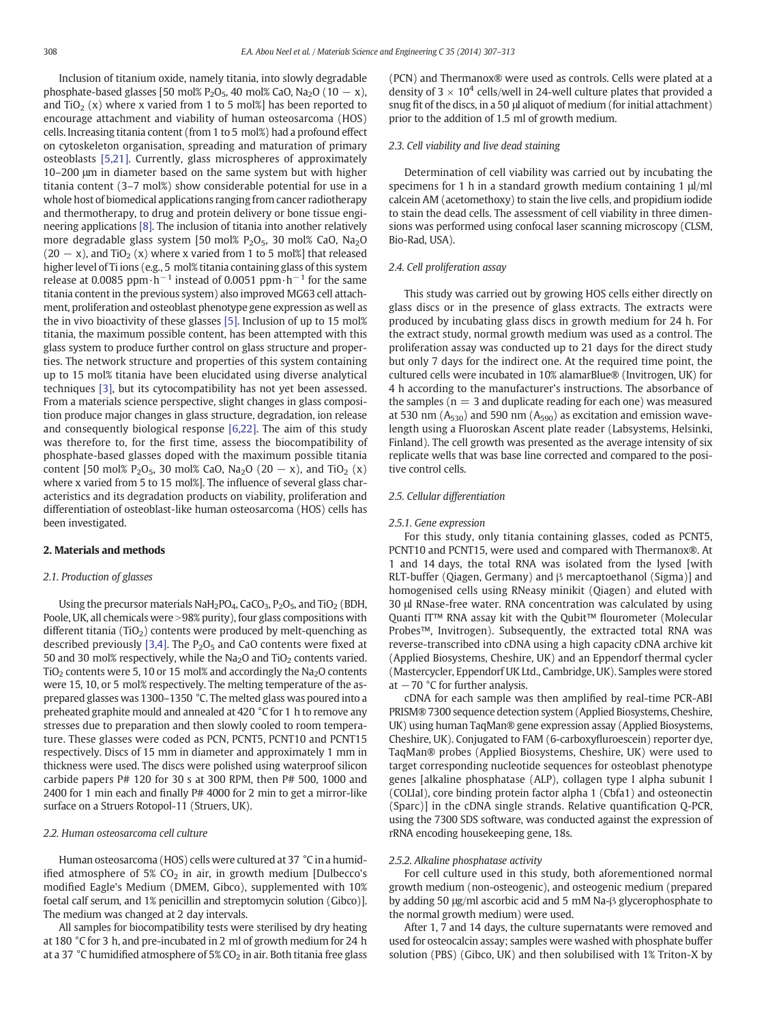Inclusion of titanium oxide, namely titania, into slowly degradable phosphate-based glasses [50 mol% P<sub>2</sub>O<sub>5</sub>, 40 mol% CaO, Na<sub>2</sub>O (10  $- x$ ), and TiO<sub>2</sub> (x) where x varied from 1 to 5 mol%] has been reported to encourage attachment and viability of human osteosarcoma (HOS) cells. Increasing titania content (from 1 to 5 mol%) had a profound effect on cytoskeleton organisation, spreading and maturation of primary osteoblasts [\[5,21\].](#page-6-0) Currently, glass microspheres of approximately 10–200 μm in diameter based on the same system but with higher titania content (3–7 mol%) show considerable potential for use in a whole host of biomedical applications ranging from cancer radiotherapy and thermotherapy, to drug and protein delivery or bone tissue engineering applications [\[8\].](#page-6-0) The inclusion of titania into another relatively more degradable glass system [50 mol% P<sub>2</sub>O<sub>5</sub>, 30 mol% CaO, Na<sub>2</sub>O  $(20 - x)$ , and TiO<sub>2</sub> (x) where x varied from 1 to 5 mol%] that released higher level of Ti ions (e.g., 5 mol% titania containing glass of this system release at 0.0085 ppm $\cdot h^{-1}$  instead of 0.0051 ppm $\cdot h^{-1}$  for the same titania content in the previous system) also improved MG63 cell attachment, proliferation and osteoblast phenotype gene expression as well as the in vivo bioactivity of these glasses [\[5\]](#page-6-0). Inclusion of up to 15 mol% titania, the maximum possible content, has been attempted with this glass system to produce further control on glass structure and properties. The network structure and properties of this system containing up to 15 mol% titania have been elucidated using diverse analytical techniques [\[3\]](#page-6-0), but its cytocompatibility has not yet been assessed. From a materials science perspective, slight changes in glass composition produce major changes in glass structure, degradation, ion release and consequently biological response [\[6,22\].](#page-6-0) The aim of this study was therefore to, for the first time, assess the biocompatibility of phosphate-based glasses doped with the maximum possible titania content [50 mol% P<sub>2</sub>O<sub>5</sub>, 30 mol% CaO, Na<sub>2</sub>O (20  $- x$ ), and TiO<sub>2</sub> (x) where x varied from 5 to 15 mol%]. The influence of several glass characteristics and its degradation products on viability, proliferation and differentiation of osteoblast-like human osteosarcoma (HOS) cells has been investigated.

# 2. Materials and methods

# 2.1. Production of glasses

Using the precursor materials  $N a H<sub>2</sub>PO<sub>4</sub>$ , CaCO<sub>3</sub>, P<sub>2</sub>O<sub>5</sub>, and TiO<sub>2</sub> (BDH, Poole, UK, all chemicals were > 98% purity), four glass compositions with different titania (TiO<sub>2</sub>) contents were produced by melt-quenching as described previously [\[3,4\]](#page-6-0). The  $P_2O_5$  and CaO contents were fixed at 50 and 30 mol% respectively, while the Na<sub>2</sub>O and TiO<sub>2</sub> contents varied. TiO<sub>2</sub> contents were 5, 10 or 15 mol% and accordingly the Na<sub>2</sub>O contents were 15, 10, or 5 mol% respectively. The melting temperature of the asprepared glasses was 1300–1350 °C. The melted glass was poured into a preheated graphite mould and annealed at 420 °C for 1 h to remove any stresses due to preparation and then slowly cooled to room temperature. These glasses were coded as PCN, PCNT5, PCNT10 and PCNT15 respectively. Discs of 15 mm in diameter and approximately 1 mm in thickness were used. The discs were polished using waterproof silicon carbide papers  $P# 120$  for 30 s at 300 RPM, then  $P# 500$ , 1000 and 2400 for 1 min each and finally P# 4000 for 2 min to get a mirror-like surface on a Struers Rotopol-11 (Struers, UK).

#### 2.2. Human osteosarcoma cell culture

Human osteosarcoma (HOS) cells were cultured at 37 °C in a humidified atmosphere of 5%  $CO<sub>2</sub>$  in air, in growth medium [Dulbecco's modified Eagle's Medium (DMEM, Gibco), supplemented with 10% foetal calf serum, and 1% penicillin and streptomycin solution (Gibco)]. The medium was changed at 2 day intervals.

All samples for biocompatibility tests were sterilised by dry heating at 180 °C for 3 h, and pre-incubated in 2 ml of growth medium for 24 h at a 37 °C humidified atmosphere of 5%  $CO<sub>2</sub>$  in air. Both titania free glass (PCN) and Thermanox® were used as controls. Cells were plated at a density of  $3 \times 10^4$  cells/well in 24-well culture plates that provided a snug fit of the discs, in a 50 μl aliquot of medium (for initial attachment) prior to the addition of 1.5 ml of growth medium.

## 2.3. Cell viability and live dead staining

Determination of cell viability was carried out by incubating the specimens for 1 h in a standard growth medium containing 1 μl/ml calcein AM (acetomethoxy) to stain the live cells, and propidium iodide to stain the dead cells. The assessment of cell viability in three dimensions was performed using confocal laser scanning microscopy (CLSM, Bio-Rad, USA).

# 2.4. Cell proliferation assay

This study was carried out by growing HOS cells either directly on glass discs or in the presence of glass extracts. The extracts were produced by incubating glass discs in growth medium for 24 h. For the extract study, normal growth medium was used as a control. The proliferation assay was conducted up to 21 days for the direct study but only 7 days for the indirect one. At the required time point, the cultured cells were incubated in 10% alamarBlue® (Invitrogen, UK) for 4 h according to the manufacturer's instructions. The absorbance of the samples ( $n = 3$  and duplicate reading for each one) was measured at 530 nm  $(A_{530})$  and 590 nm  $(A_{590})$  as excitation and emission wavelength using a Fluoroskan Ascent plate reader (Labsystems, Helsinki, Finland). The cell growth was presented as the average intensity of six replicate wells that was base line corrected and compared to the positive control cells.

#### 2.5. Cellular differentiation

#### 2.5.1. Gene expression

For this study, only titania containing glasses, coded as PCNT5, PCNT10 and PCNT15, were used and compared with Thermanox®. At 1 and 14 days, the total RNA was isolated from the lysed [with RLT-buffer (Qiagen, Germany) and β mercaptoethanol (Sigma)] and homogenised cells using RNeasy minikit (Qiagen) and eluted with 30 μl RNase-free water. RNA concentration was calculated by using Quanti IT™ RNA assay kit with the Qubit™ flourometer (Molecular Probes™, Invitrogen). Subsequently, the extracted total RNA was reverse-transcribed into cDNA using a high capacity cDNA archive kit (Applied Biosystems, Cheshire, UK) and an Eppendorf thermal cycler (Mastercycler, Eppendorf UK Ltd., Cambridge, UK). Samples were stored at  $-70$  °C for further analysis.

cDNA for each sample was then amplified by real-time PCR-ABI PRISM® 7300 sequence detection system (Applied Biosystems, Cheshire, UK) using human TaqMan® gene expression assay (Applied Biosystems, Cheshire, UK). Conjugated to FAM (6-carboxyfluroescein) reporter dye, TaqMan® probes (Applied Biosystems, Cheshire, UK) were used to target corresponding nucleotide sequences for osteoblast phenotype genes [alkaline phosphatase (ALP), collagen type I alpha subunit I (COLIaI), core binding protein factor alpha 1 (Cbfa1) and osteonectin (Sparc)] in the cDNA single strands. Relative quantification Q-PCR, using the 7300 SDS software, was conducted against the expression of rRNA encoding housekeeping gene, 18s.

# 2.5.2. Alkaline phosphatase activity

For cell culture used in this study, both aforementioned normal growth medium (non-osteogenic), and osteogenic medium (prepared by adding 50 μg/ml ascorbic acid and 5 mM Na-β glycerophosphate to the normal growth medium) were used.

After 1, 7 and 14 days, the culture supernatants were removed and used for osteocalcin assay; samples were washed with phosphate buffer solution (PBS) (Gibco, UK) and then solubilised with 1% Triton-X by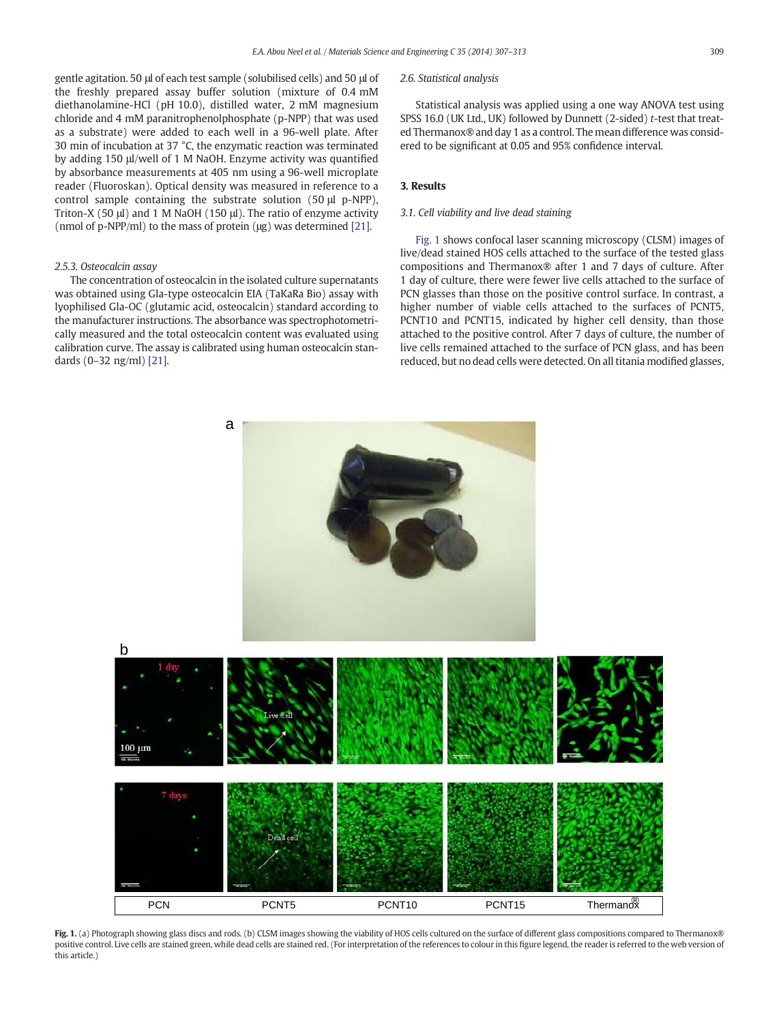gentle agitation. 50 μl of each test sample (solubilised cells) and 50 μl of the freshly prepared assay buffer solution (mixture of 0.4 mM diethanolamine-HCl (pH 10.0), distilled water, 2 mM magnesium chloride and 4 mM paranitrophenolphosphate (p-NPP) that was used as a substrate) were added to each well in a 96-well plate. After 30 min of incubation at 37 °C, the enzymatic reaction was terminated by adding 150 μl/well of 1 M NaOH. Enzyme activity was quantified by absorbance measurements at 405 nm using a 96-well microplate reader (Fluoroskan). Optical density was measured in reference to a control sample containing the substrate solution (50 μl p-NPP), Triton-X (50 μl) and 1 M NaOH (150 μl). The ratio of enzyme activity (nmol of p-NPP/ml) to the mass of protein (μg) was determined [\[21\].](#page-6-0)

# 2.5.3. Osteocalcin assay

The concentration of osteocalcin in the isolated culture supernatants was obtained using Gla-type osteocalcin EIA (TaKaRa Bio) assay with lyophilised Gla-OC (glutamic acid, osteocalcin) standard according to the manufacturer instructions. The absorbance was spectrophotometrically measured and the total osteocalcin content was evaluated using calibration curve. The assay is calibrated using human osteocalcin standards (0–32 ng/ml) [\[21\]](#page-6-0).

# 2.6. Statistical analysis

Statistical analysis was applied using a one way ANOVA test using SPSS 16.0 (UK Ltd., UK) followed by Dunnett (2-sided) t-test that treated Thermanox® and day 1 as a control. The mean difference was considered to be significant at 0.05 and 95% confidence interval.

# 3. Results

# 3.1. Cell viability and live dead staining

Fig. 1 shows confocal laser scanning microscopy (CLSM) images of live/dead stained HOS cells attached to the surface of the tested glass compositions and Thermanox® after 1 and 7 days of culture. After 1 day of culture, there were fewer live cells attached to the surface of PCN glasses than those on the positive control surface. In contrast, a higher number of viable cells attached to the surfaces of PCNT5, PCNT10 and PCNT15, indicated by higher cell density, than those attached to the positive control. After 7 days of culture, the number of live cells remained attached to the surface of PCN glass, and has been reduced, but no dead cells were detected. On all titania modified glasses,



Fig. 1. (a) Photograph showing glass discs and rods. (b) CLSM images showing the viability of HOS cells cultured on the surface of different glass compositions compared to Thermanox® positive control. Live cells are stained green, while dead cells are stained red. (For interpretation of the references to colour in this figure legend, the reader is referred to the web version of this article.)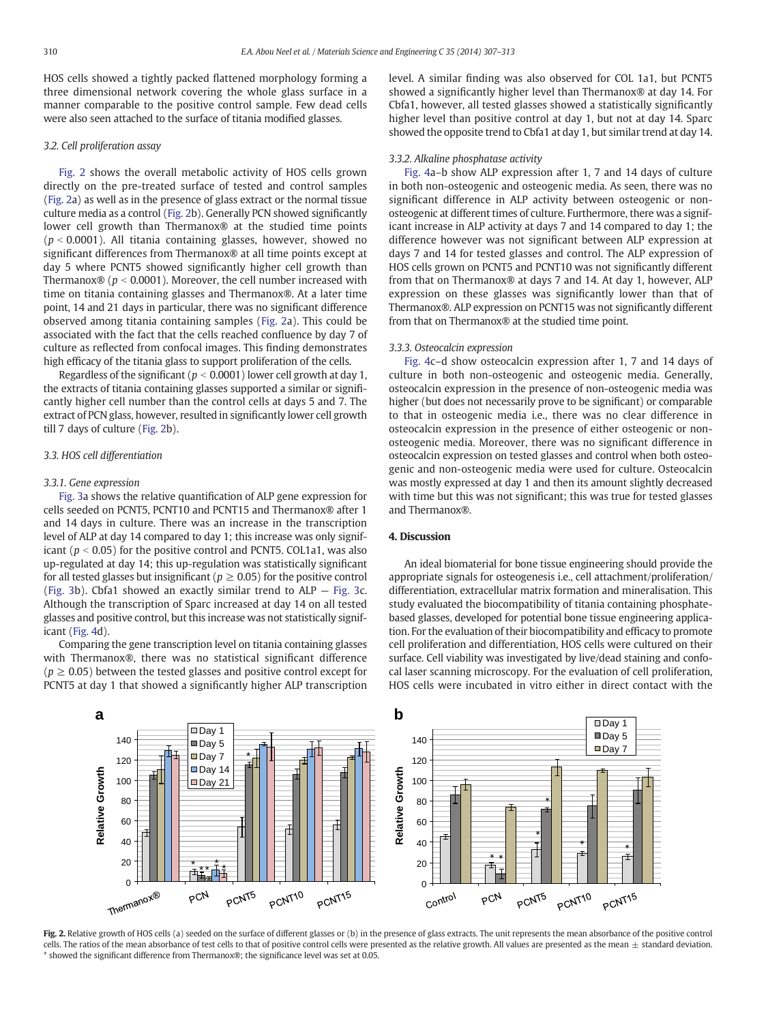HOS cells showed a tightly packed flattened morphology forming a three dimensional network covering the whole glass surface in a manner comparable to the positive control sample. Few dead cells were also seen attached to the surface of titania modified glasses.

# 3.2. Cell proliferation assay

Fig. 2 shows the overall metabolic activity of HOS cells grown directly on the pre-treated surface of tested and control samples (Fig. 2a) as well as in the presence of glass extract or the normal tissue culture media as a control (Fig. 2b). Generally PCN showed significantly lower cell growth than Thermanox® at the studied time points  $(p < 0.0001)$ . All titania containing glasses, however, showed no significant differences from Thermanox® at all time points except at day 5 where PCNT5 showed significantly higher cell growth than Thermanox® ( $p < 0.0001$ ). Moreover, the cell number increased with time on titania containing glasses and Thermanox®. At a later time point, 14 and 21 days in particular, there was no significant difference observed among titania containing samples (Fig. 2a). This could be associated with the fact that the cells reached confluence by day 7 of culture as reflected from confocal images. This finding demonstrates high efficacy of the titania glass to support proliferation of the cells.

Regardless of the significant ( $p < 0.0001$ ) lower cell growth at day 1, the extracts of titania containing glasses supported a similar or significantly higher cell number than the control cells at days 5 and 7. The extract of PCN glass, however, resulted in significantly lower cell growth till 7 days of culture (Fig. 2b).

# 3.3. HOS cell differentiation

#### 3.3.1. Gene expression

[Fig. 3](#page-4-0)a shows the relative quantification of ALP gene expression for cells seeded on PCNT5, PCNT10 and PCNT15 and Thermanox® after 1 and 14 days in culture. There was an increase in the transcription level of ALP at day 14 compared to day 1; this increase was only significant ( $p < 0.05$ ) for the positive control and PCNT5. COL1a1, was also up-regulated at day 14; this up-regulation was statistically significant for all tested glasses but insignificant ( $p \ge 0.05$ ) for the positive control [\(Fig. 3b](#page-4-0)). Cbfa1 showed an exactly similar trend to  $ALP - Fig. 3c$  $ALP - Fig. 3c$  $ALP - Fig. 3c$ . Although the transcription of Sparc increased at day 14 on all tested glasses and positive control, but this increase was not statistically significant ([Fig. 4](#page-5-0)d).

Comparing the gene transcription level on titania containing glasses with Thermanox®, there was no statistical significant difference ( $p \geq 0.05$ ) between the tested glasses and positive control except for PCNT5 at day 1 that showed a significantly higher ALP transcription level. A similar finding was also observed for COL 1a1, but PCNT5 showed a significantly higher level than Thermanox® at day 14. For Cbfa1, however, all tested glasses showed a statistically significantly higher level than positive control at day 1, but not at day 14. Sparc showed the opposite trend to Cbfa1 at day 1, but similar trend at day 14.

# 3.3.2. Alkaline phosphatase activity

[Fig. 4a](#page-5-0)–b show ALP expression after 1, 7 and 14 days of culture in both non-osteogenic and osteogenic media. As seen, there was no significant difference in ALP activity between osteogenic or nonosteogenic at different times of culture. Furthermore, there was a significant increase in ALP activity at days 7 and 14 compared to day 1; the difference however was not significant between ALP expression at days 7 and 14 for tested glasses and control. The ALP expression of HOS cells grown on PCNT5 and PCNT10 was not significantly different from that on Thermanox® at days 7 and 14. At day 1, however, ALP expression on these glasses was significantly lower than that of Thermanox®. ALP expression on PCNT15 was not significantly different from that on Thermanox® at the studied time point.

### 3.3.3. Osteocalcin expression

[Fig. 4](#page-5-0)c–d show osteocalcin expression after 1, 7 and 14 days of culture in both non-osteogenic and osteogenic media. Generally, osteocalcin expression in the presence of non-osteogenic media was higher (but does not necessarily prove to be significant) or comparable to that in osteogenic media i.e., there was no clear difference in osteocalcin expression in the presence of either osteogenic or nonosteogenic media. Moreover, there was no significant difference in osteocalcin expression on tested glasses and control when both osteogenic and non-osteogenic media were used for culture. Osteocalcin was mostly expressed at day 1 and then its amount slightly decreased with time but this was not significant; this was true for tested glasses and Thermanox®.

# 4. Discussion

An ideal biomaterial for bone tissue engineering should provide the appropriate signals for osteogenesis i.e., cell attachment/proliferation/ differentiation, extracellular matrix formation and mineralisation. This study evaluated the biocompatibility of titania containing phosphatebased glasses, developed for potential bone tissue engineering application. For the evaluation of their biocompatibility and efficacy to promote cell proliferation and differentiation, HOS cells were cultured on their surface. Cell viability was investigated by live/dead staining and confocal laser scanning microscopy. For the evaluation of cell proliferation, HOS cells were incubated in vitro either in direct contact with the



Fig. 2. Relative growth of HOS cells (a) seeded on the surface of different glasses or (b) in the presence of glass extracts. The unit represents the mean absorbance of the positive control cells. The ratios of the mean absorbance of test cells to that of positive control cells were presented as the relative growth. All values are presented as the mean  $\pm$  standard deviation. \* showed the significant difference from Thermanox®; the significance level was set at 0.05.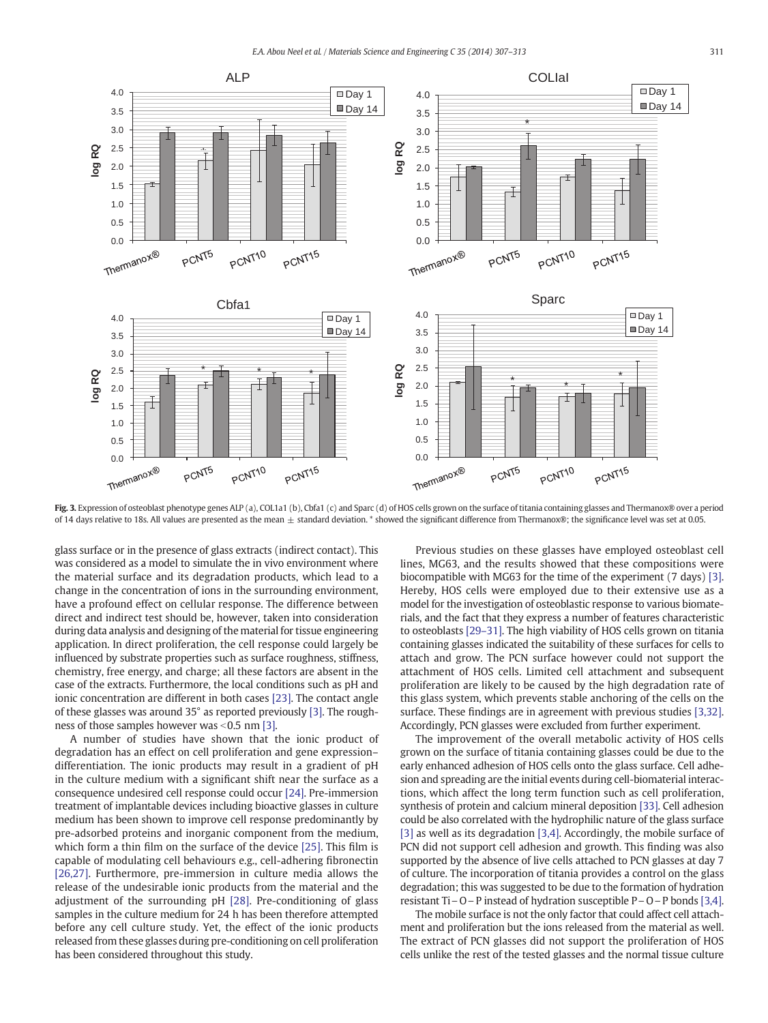<span id="page-4-0"></span>

Fig. 3. Expression of osteoblast phenotype genes ALP (a), COL1a1 (b), Cbfa1 (c) and Sparc (d) of HOS cells grown on the surface of titania containing glasses and Thermanox® over a period of 14 days relative to 18s. All values are presented as the mean  $\pm$  standard deviation. \* showed the significant difference from Thermanox®; the significance level was set at 0.05.

glass surface or in the presence of glass extracts (indirect contact). This was considered as a model to simulate the in vivo environment where the material surface and its degradation products, which lead to a change in the concentration of ions in the surrounding environment, have a profound effect on cellular response. The difference between direct and indirect test should be, however, taken into consideration during data analysis and designing of the material for tissue engineering application. In direct proliferation, the cell response could largely be influenced by substrate properties such as surface roughness, stiffness, chemistry, free energy, and charge; all these factors are absent in the case of the extracts. Furthermore, the local conditions such as pH and ionic concentration are different in both cases [\[23\].](#page-6-0) The contact angle of these glasses was around 35° as reported previously [\[3\].](#page-6-0) The roughness of those samples however was  $<$  0.5 nm [\[3\].](#page-6-0)

A number of studies have shown that the ionic product of degradation has an effect on cell proliferation and gene expression– differentiation. The ionic products may result in a gradient of pH in the culture medium with a significant shift near the surface as a consequence undesired cell response could occur [\[24\].](#page-6-0) Pre-immersion treatment of implantable devices including bioactive glasses in culture medium has been shown to improve cell response predominantly by pre-adsorbed proteins and inorganic component from the medium, which form a thin film on the surface of the device [\[25\].](#page-6-0) This film is capable of modulating cell behaviours e.g., cell-adhering fibronectin [\[26,27\].](#page-6-0) Furthermore, pre-immersion in culture media allows the release of the undesirable ionic products from the material and the adjustment of the surrounding pH [\[28\]](#page-6-0). Pre-conditioning of glass samples in the culture medium for 24 h has been therefore attempted before any cell culture study. Yet, the effect of the ionic products released from these glasses during pre-conditioning on cell proliferation has been considered throughout this study.

Previous studies on these glasses have employed osteoblast cell lines, MG63, and the results showed that these compositions were biocompatible with MG63 for the time of the experiment (7 days) [\[3\].](#page-6-0) Hereby, HOS cells were employed due to their extensive use as a model for the investigation of osteoblastic response to various biomaterials, and the fact that they express a number of features characteristic to osteoblasts [\[29](#page-6-0)–31]. The high viability of HOS cells grown on titania containing glasses indicated the suitability of these surfaces for cells to attach and grow. The PCN surface however could not support the attachment of HOS cells. Limited cell attachment and subsequent proliferation are likely to be caused by the high degradation rate of this glass system, which prevents stable anchoring of the cells on the surface. These findings are in agreement with previous studies [\[3,32\].](#page-6-0) Accordingly, PCN glasses were excluded from further experiment.

The improvement of the overall metabolic activity of HOS cells grown on the surface of titania containing glasses could be due to the early enhanced adhesion of HOS cells onto the glass surface. Cell adhesion and spreading are the initial events during cell-biomaterial interactions, which affect the long term function such as cell proliferation, synthesis of protein and calcium mineral deposition [\[33\]](#page-6-0). Cell adhesion could be also correlated with the hydrophilic nature of the glass surface [\[3\]](#page-6-0) as well as its degradation [\[3,4\].](#page-6-0) Accordingly, the mobile surface of PCN did not support cell adhesion and growth. This finding was also supported by the absence of live cells attached to PCN glasses at day 7 of culture. The incorporation of titania provides a control on the glass degradation; this was suggested to be due to the formation of hydration resistant Ti $-\text{O}-\text{P}$  instead of hydration susceptible P $-\text{O}-\text{P}$  bonds [\[3,4\].](#page-6-0)

The mobile surface is not the only factor that could affect cell attachment and proliferation but the ions released from the material as well. The extract of PCN glasses did not support the proliferation of HOS cells unlike the rest of the tested glasses and the normal tissue culture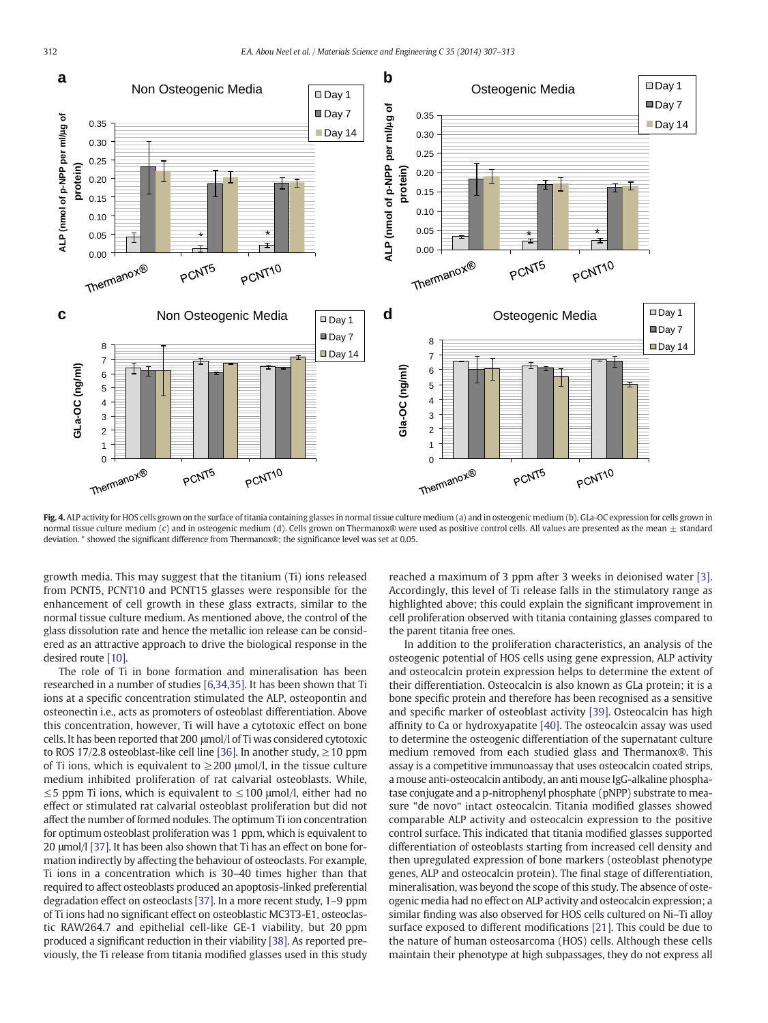

Fig. 4. ALP activity for HOS cells grown on the surface of titania containing glasses in normal tissue culture medium (a) and in osteogenic medium (b). GLa-OC expression for cells grown in normal tissue culture medium (c) and in osteogenic medium (d). Cells grown on Thermanox® were used as positive control cells. All values are presented as the mean  $\pm$  standard deviation. \* showed the significant difference from Thermanox®; the significance level was set at 0.05.

growth media. This may suggest that the titanium (Ti) ions released from PCNT5, PCNT10 and PCNT15 glasses were responsible for the enhancement of cell growth in these glass extracts, similar to the normal tissue culture medium. As mentioned above, the control of the glass dissolution rate and hence the metallic ion release can be considered as an attractive approach to drive the biological response in the desired route [\[10\]](#page-6-0).

The role of Ti in bone formation and mineralisation has been researched in a number of studies [\[6,34,35\].](#page-6-0) It has been shown that Ti ions at a specific concentration stimulated the ALP, osteopontin and osteonectin i.e., acts as promoters of osteoblast differentiation. Above this concentration, however, Ti will have a cytotoxic effect on bone cells. It has been reported that 200 μmol/l of Ti was considered cytotoxic to ROS 17/2.8 osteoblast-like cell line [\[36\].](#page-6-0) In another study,  $\geq$  10 ppm of Ti ions, which is equivalent to  $\geq$  200 µmol/l, in the tissue culture medium inhibited proliferation of rat calvarial osteoblasts. While,  $\leq$  5 ppm Ti ions, which is equivalent to  $\leq$  100 µmol/l, either had no effect or stimulated rat calvarial osteoblast proliferation but did not affect the number of formed nodules. The optimum Ti ion concentration for optimum osteoblast proliferation was 1 ppm, which is equivalent to 20 μmol/l [\[37\]](#page-6-0). It has been also shown that Ti has an effect on bone formation indirectly by affecting the behaviour of osteoclasts. For example, Ti ions in a concentration which is 30–40 times higher than that required to affect osteoblasts produced an apoptosis-linked preferential degradation effect on osteoclasts [\[37\]](#page-6-0). In a more recent study, 1–9 ppm of Ti ions had no significant effect on osteoblastic MC3T3-E1, osteoclastic RAW264.7 and epithelial cell-like GE-1 viability, but 20 ppm produced a significant reduction in their viability [\[38\].](#page-6-0) As reported previously, the Ti release from titania modified glasses used in this study reached a maximum of 3 ppm after 3 weeks in deionised water [\[3\].](#page-6-0) Accordingly, this level of Ti release falls in the stimulatory range as highlighted above; this could explain the significant improvement in cell proliferation observed with titania containing glasses compared to the parent titania free ones.

In addition to the proliferation characteristics, an analysis of the osteogenic potential of HOS cells using gene expression, ALP activity and osteocalcin protein expression helps to determine the extent of their differentiation. Osteocalcin is also known as GLa protein; it is a bone specific protein and therefore has been recognised as a sensitive and specific marker of osteoblast activity [\[39\].](#page-6-0) Osteocalcin has high affinity to Ca or hydroxyapatite [\[40\]](#page-6-0). The osteocalcin assay was used to determine the osteogenic differentiation of the supernatant culture medium removed from each studied glass and Thermanox®. This assay is a competitive immunoassay that uses osteocalcin coated strips, a mouse anti-osteocalcin antibody, an anti mouse IgG-alkaline phosphatase conjugate and a p-nitrophenyl phosphate (pNPP) substrate to measure "de novo" intact osteocalcin. Titania modified glasses showed comparable ALP activity and osteocalcin expression to the positive control surface. This indicated that titania modified glasses supported differentiation of osteoblasts starting from increased cell density and then upregulated expression of bone markers (osteoblast phenotype genes, ALP and osteocalcin protein). The final stage of differentiation, mineralisation, was beyond the scope of this study. The absence of osteogenic media had no effect on ALP activity and osteocalcin expression; a similar finding was also observed for HOS cells cultured on Ni–Ti alloy surface exposed to different modifications [\[21\]](#page-6-0). This could be due to the nature of human osteosarcoma (HOS) cells. Although these cells maintain their phenotype at high subpassages, they do not express all

<span id="page-5-0"></span>